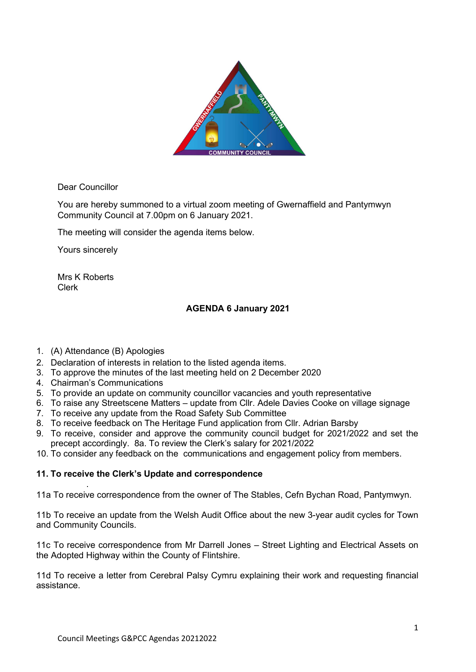

Dear Councillor

You are hereby summoned to a virtual zoom meeting of Gwernaffield and Pantymwyn Community Council at 7.00pm on 6 January 2021.

The meeting will consider the agenda items below.

Yours sincerely

Mrs K Roberts Clerk

## AGENDA 6 January 2021

- 1. (A) Attendance (B) Apologies
- 2. Declaration of interests in relation to the listed agenda items.
- 3. To approve the minutes of the last meeting held on 2 December 2020
- 4. Chairman's Communications

.

- 5. To provide an update on community councillor vacancies and youth representative
- 6. To raise any Streetscene Matters update from Cllr. Adele Davies Cooke on village signage
- 7. To receive any update from the Road Safety Sub Committee
- 8. To receive feedback on The Heritage Fund application from Cllr. Adrian Barsby
- 9. To receive, consider and approve the community council budget for 2021/2022 and set the precept accordingly. 8a. To review the Clerk's salary for 2021/2022
- 10. To consider any feedback on the communications and engagement policy from members.

## 11. To receive the Clerk's Update and correspondence

11a To receive correspondence from the owner of The Stables, Cefn Bychan Road, Pantymwyn.

11b To receive an update from the Welsh Audit Office about the new 3-year audit cycles for Town and Community Councils.

11c To receive correspondence from Mr Darrell Jones – Street Lighting and Electrical Assets on the Adopted Highway within the County of Flintshire.

11d To receive a letter from Cerebral Palsy Cymru explaining their work and requesting financial assistance.